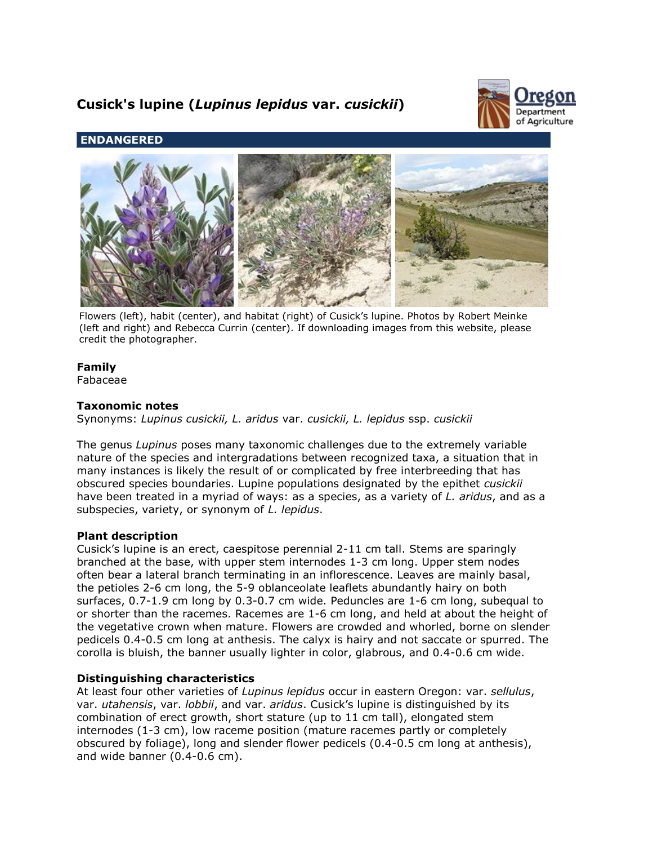# **Cusick's lupine (***Lupinus lepidus* **var.** *cusickii***)**



# **ENDANGERED**



Flowers (left), habit (center), and habitat (right) of Cusick's lupine. Photos by Robert Meinke (left and right) and Rebecca Currin (center). If downloading images from this website, please credit the photographer.

# **Family**

Fabaceae

### **Taxonomic notes**

Synonyms: *Lupinus cusickii, L. aridus* var. *cusickii, L. lepidus* ssp. *cusickii*

The genus *Lupinus* poses many taxonomic challenges due to the extremely variable nature of the species and intergradations between recognized taxa, a situation that in many instances is likely the result of or complicated by free interbreeding that has obscured species boundaries. Lupine populations designated by the epithet *cusickii* have been treated in a myriad of ways: as a species, as a variety of *L. aridus*, and as a subspecies, variety, or synonym of *L. lepidus*.

# **Plant description**

Cusick's lupine is an erect, caespitose perennial 2-11 cm tall. Stems are sparingly branched at the base, with upper stem internodes 1-3 cm long. Upper stem nodes often bear a lateral branch terminating in an inflorescence. Leaves are mainly basal, the petioles 2-6 cm long, the 5-9 oblanceolate leaflets abundantly hairy on both surfaces, 0.7-1.9 cm long by 0.3-0.7 cm wide. Peduncles are 1-6 cm long, subequal to or shorter than the racemes. Racemes are 1-6 cm long, and held at about the height of the vegetative crown when mature. Flowers are crowded and whorled, borne on slender pedicels 0.4-0.5 cm long at anthesis. The calyx is hairy and not saccate or spurred. The corolla is bluish, the banner usually lighter in color, glabrous, and 0.4-0.6 cm wide.

# **Distinguishing characteristics**

At least four other varieties of *Lupinus lepidus* occur in eastern Oregon: var. *sellulus*, var. *utahensis*, var. *lobbii*, and var. *aridus*. Cusick's lupine is distinguished by its combination of erect growth, short stature (up to 11 cm tall), elongated stem internodes (1-3 cm), low raceme position (mature racemes partly or completely obscured by foliage), long and slender flower pedicels (0.4-0.5 cm long at anthesis), and wide banner (0.4-0.6 cm).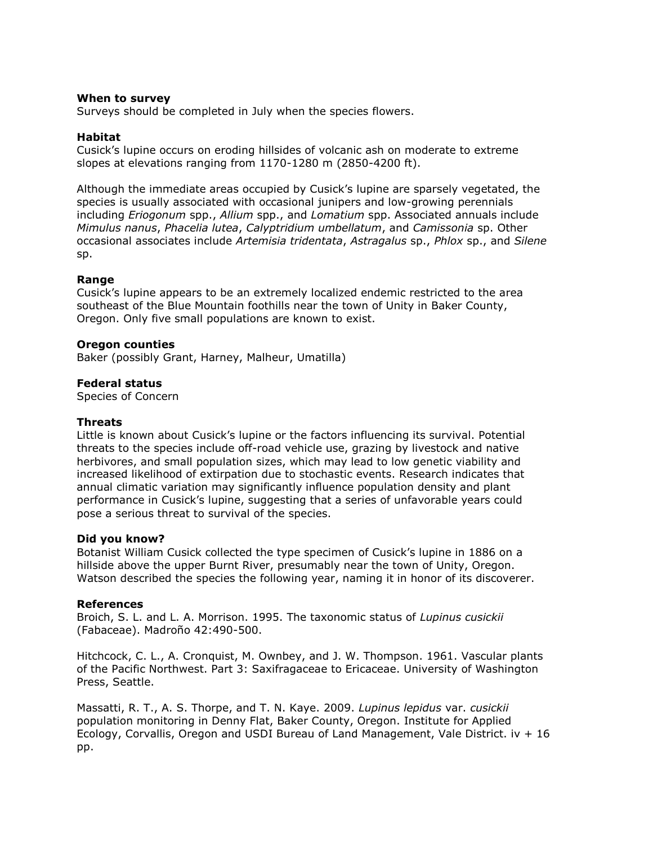#### **When to survey**

Surveys should be completed in July when the species flowers.

#### **Habitat**

Cusick's lupine occurs on eroding hillsides of volcanic ash on moderate to extreme slopes at elevations ranging from 1170-1280 m (2850-4200 ft).

Although the immediate areas occupied by Cusick's lupine are sparsely vegetated, the species is usually associated with occasional junipers and low-growing perennials including *Eriogonum* spp., *Allium* spp., and *Lomatium* spp. Associated annuals include *Mimulus nanus*, *Phacelia lutea*, *Calyptridium umbellatum*, and *Camissonia* sp. Other occasional associates include *Artemisia tridentata*, *Astragalus* sp., *Phlox* sp., and *Silene* sp.

#### **Range**

Cusick's lupine appears to be an extremely localized endemic restricted to the area southeast of the Blue Mountain foothills near the town of Unity in Baker County, Oregon. Only five small populations are known to exist.

#### **Oregon counties**

Baker (possibly Grant, Harney, Malheur, Umatilla)

#### **Federal status**

Species of Concern

#### **Threats**

Little is known about Cusick's lupine or the factors influencing its survival. Potential threats to the species include off-road vehicle use, grazing by livestock and native herbivores, and small population sizes, which may lead to low genetic viability and increased likelihood of extirpation due to stochastic events. Research indicates that annual climatic variation may significantly influence population density and plant performance in Cusick's lupine, suggesting that a series of unfavorable years could pose a serious threat to survival of the species.

#### **Did you know?**

Botanist William Cusick collected the type specimen of Cusick's lupine in 1886 on a hillside above the upper Burnt River, presumably near the town of Unity, Oregon. Watson described the species the following year, naming it in honor of its discoverer.

#### **References**

Broich, S. L. and L. A. Morrison. 1995. The taxonomic status of *Lupinus cusickii* (Fabaceae). Madroño 42:490-500.

Hitchcock, C. L., A. Cronquist, M. Ownbey, and J. W. Thompson. 1961. Vascular plants of the Pacific Northwest. Part 3: Saxifragaceae to Ericaceae. University of Washington Press, Seattle.

Massatti, R. T., A. S. Thorpe, and T. N. Kaye. 2009. *Lupinus lepidus* var. *cusickii* population monitoring in Denny Flat, Baker County, Oregon. Institute for Applied Ecology, Corvallis, Oregon and USDI Bureau of Land Management, Vale District.  $iv + 16$ pp.